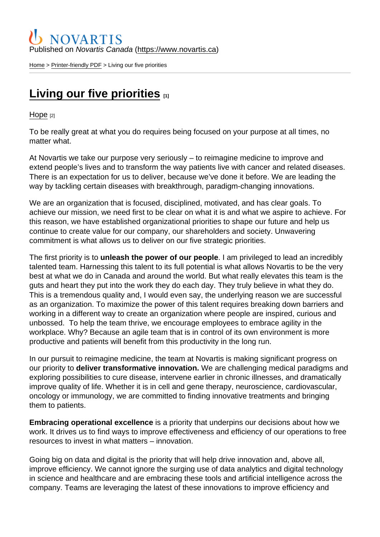## Published on Novartis Canada [\(https://www.novartis.ca\)](https://www.novartis.ca)

[Home](https://www.novartis.ca/en) > [Printer-friendly PDF](https://www.novartis.ca/en/printpdf) > Living our five priorities

## [Living our five priorities](https://www.novartis.ca/en/stories/hope/living-our-five-priorities)  $\frac{1}{11}$

[Hope](https://www.novartis.ca/en/stories/hope) [2]

To be really great at what you do requires being focused on your purpose at all times, no matter what.

At Novartis we take our purpose very seriously – to reimagine medicine to improve and extend people's lives and to transform the way patients live with cancer and related diseases. There is an expectation for us to deliver, because we've done it before. We are leading the way by tackling certain diseases with breakthrough, paradigm-changing innovations.

We are an organization that is focused, disciplined, motivated, and has clear goals. To achieve our mission, we need first to be clear on what it is and what we aspire to achieve. For this reason, we have established organizational priorities to shape our future and help us continue to create value for our company, our shareholders and society. Unwavering commitment is what allows us to deliver on our five strategic priorities.

The first priority is to unleash the power of our people . I am privileged to lead an incredibly talented team. Harnessing this talent to its full potential is what allows Novartis to be the very best at what we do in Canada and around the world. But what really elevates this team is the guts and heart they put into the work they do each day. They truly believe in what they do. This is a tremendous quality and, I would even say, the underlying reason we are successful as an organization. To maximize the power of this talent requires breaking down barriers and working in a different way to create an organization where people are inspired, curious and unbossed. To help the team thrive, we encourage employees to embrace agility in the workplace. Why? Because an agile team that is in control of its own environment is more productive and patients will benefit from this productivity in the long run.

In our pursuit to reimagine medicine, the team at Novartis is making significant progress on our priority to deliver transformative innovation. We are challenging medical paradigms and exploring possibilities to cure disease, intervene earlier in chronic illnesses, and dramatically improve quality of life. Whether it is in cell and gene therapy, neuroscience, cardiovascular, oncology or immunology, we are committed to finding innovative treatments and bringing them to patients.

Embracing operational excellence is a priority that underpins our decisions about how we work. It drives us to find ways to improve effectiveness and efficiency of our operations to free resources to invest in what matters – innovation.

Going big on data and digital is the priority that will help drive innovation and, above all, improve efficiency. We cannot ignore the surging use of data analytics and digital technology in science and healthcare and are embracing these tools and artificial intelligence across the company. Teams are leveraging the latest of these innovations to improve efficiency and